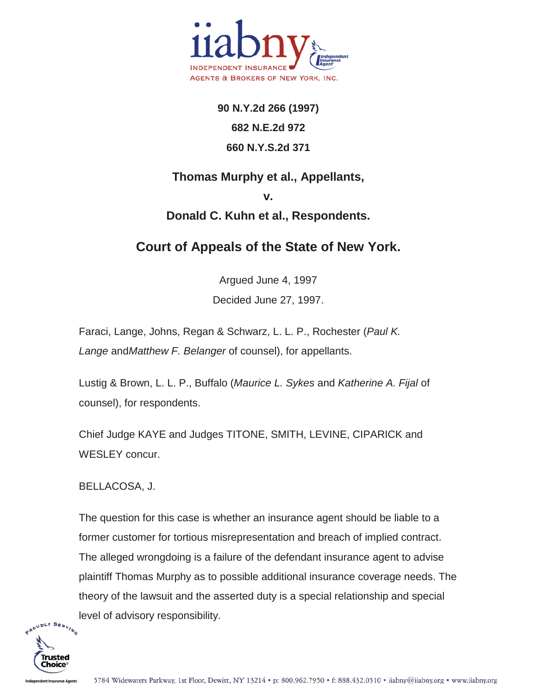

**90 N.Y.2d 266 (1997) 682 N.E.2d 972 660 N.Y.S.2d 371**

## **Thomas Murphy et al., Appellants, v.**

## **Donald C. Kuhn et al., Respondents.**

## **Court of Appeals of the State of New York.**

Argued June 4, 1997 Decided June 27, 1997.

Faraci, Lange, Johns, Regan & Schwarz, L. L. P., Rochester (*Paul K. Lange* and*Matthew F. Belanger* of counsel), for appellants.

Lustig & Brown, L. L. P., Buffalo (*Maurice L. Sykes* and *Katherine A. Fijal* of counsel), for respondents.

Chief Judge KAYE and Judges TITONE, SMITH, LEVINE, CIPARICK and WESLEY concur.

BELLACOSA, J.

The question for this case is whether an insurance agent should be liable to a former customer for tortious misrepresentation and breach of implied contract. The alleged wrongdoing is a failure of the defendant insurance agent to advise plaintiff Thomas Murphy as to possible additional insurance coverage needs. The theory of the lawsuit and the asserted duty is a special relationship and special level of advisory responsibility.

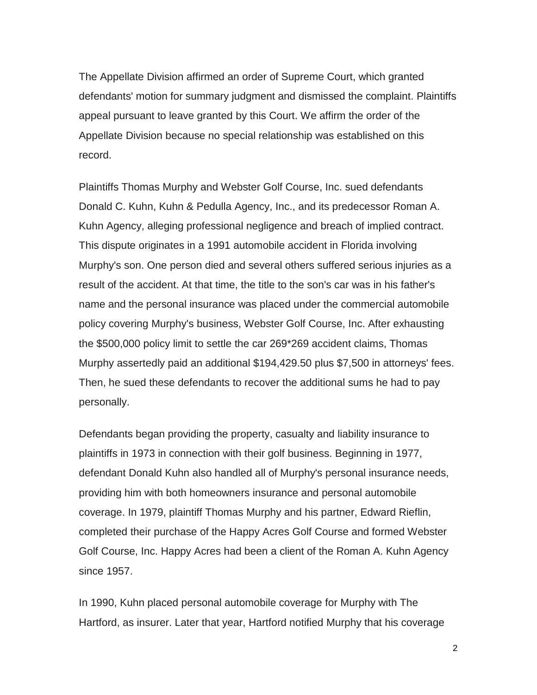The Appellate Division affirmed an order of Supreme Court, which granted defendants' motion for summary judgment and dismissed the complaint. Plaintiffs appeal pursuant to leave granted by this Court. We affirm the order of the Appellate Division because no special relationship was established on this record.

Plaintiffs Thomas Murphy and Webster Golf Course, Inc. sued defendants Donald C. Kuhn, Kuhn & Pedulla Agency, Inc., and its predecessor Roman A. Kuhn Agency, alleging professional negligence and breach of implied contract. This dispute originates in a 1991 automobile accident in Florida involving Murphy's son. One person died and several others suffered serious injuries as a result of the accident. At that time, the title to the son's car was in his father's name and the personal insurance was placed under the commercial automobile policy covering Murphy's business, Webster Golf Course, Inc. After exhausting the \$500,000 policy limit to settle the car 269\*269 accident claims, Thomas Murphy assertedly paid an additional \$194,429.50 plus \$7,500 in attorneys' fees. Then, he sued these defendants to recover the additional sums he had to pay personally.

Defendants began providing the property, casualty and liability insurance to plaintiffs in 1973 in connection with their golf business. Beginning in 1977, defendant Donald Kuhn also handled all of Murphy's personal insurance needs, providing him with both homeowners insurance and personal automobile coverage. In 1979, plaintiff Thomas Murphy and his partner, Edward Rieflin, completed their purchase of the Happy Acres Golf Course and formed Webster Golf Course, Inc. Happy Acres had been a client of the Roman A. Kuhn Agency since 1957.

In 1990, Kuhn placed personal automobile coverage for Murphy with The Hartford, as insurer. Later that year, Hartford notified Murphy that his coverage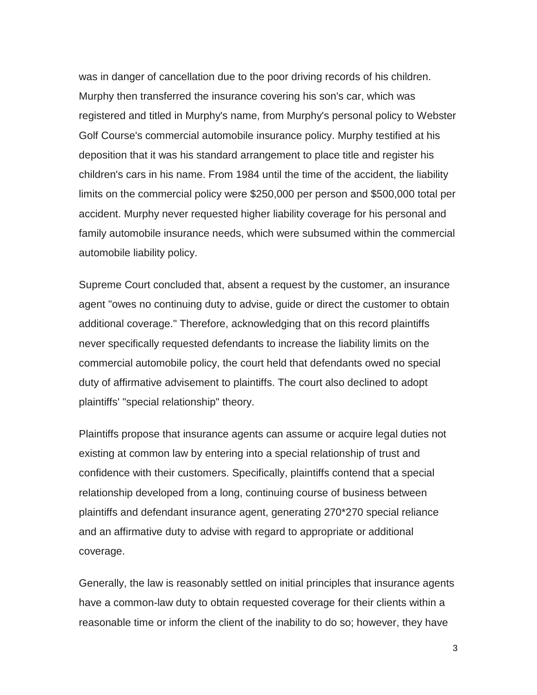was in danger of cancellation due to the poor driving records of his children. Murphy then transferred the insurance covering his son's car, which was registered and titled in Murphy's name, from Murphy's personal policy to Webster Golf Course's commercial automobile insurance policy. Murphy testified at his deposition that it was his standard arrangement to place title and register his children's cars in his name. From 1984 until the time of the accident, the liability limits on the commercial policy were \$250,000 per person and \$500,000 total per accident. Murphy never requested higher liability coverage for his personal and family automobile insurance needs, which were subsumed within the commercial automobile liability policy.

Supreme Court concluded that, absent a request by the customer, an insurance agent "owes no continuing duty to advise, guide or direct the customer to obtain additional coverage." Therefore, acknowledging that on this record plaintiffs never specifically requested defendants to increase the liability limits on the commercial automobile policy, the court held that defendants owed no special duty of affirmative advisement to plaintiffs. The court also declined to adopt plaintiffs' "special relationship" theory.

Plaintiffs propose that insurance agents can assume or acquire legal duties not existing at common law by entering into a special relationship of trust and confidence with their customers. Specifically, plaintiffs contend that a special relationship developed from a long, continuing course of business between plaintiffs and defendant insurance agent, generating 270\*270 special reliance and an affirmative duty to advise with regard to appropriate or additional coverage.

Generally, the law is reasonably settled on initial principles that insurance agents have a common-law duty to obtain requested coverage for their clients within a reasonable time or inform the client of the inability to do so; however, they have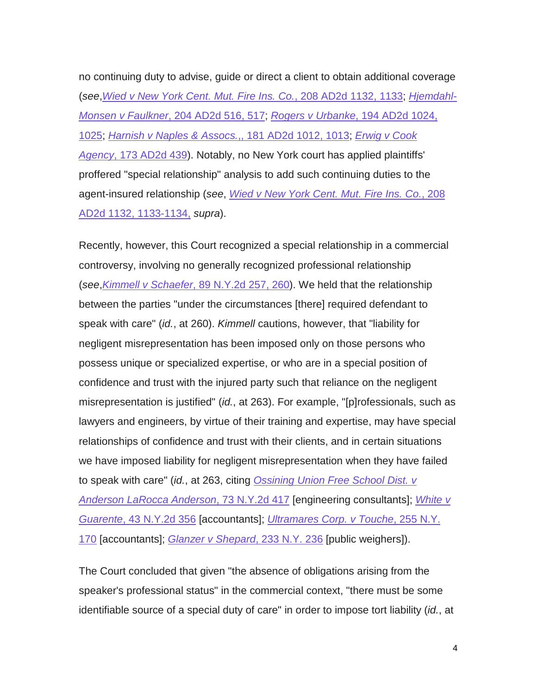no continuing duty to advise, guide or direct a client to obtain additional coverage (*see*,*[Wied v New York Cent. Mut. Fire Ins. Co.](http://scholar.google.com/scholar_case?case=12821965428395704371&q=murphy+v.+kuhn&hl=en&as_sdt=2,5&scilh=0)*, 208 AD2d 1132, 1133; *[Hjemdahl-](http://scholar.google.com/scholar_case?case=12376160349875338980&q=murphy+v.+kuhn&hl=en&as_sdt=2,5&scilh=0)Monsen v Faulkner*[, 204 AD2d 516, 517;](http://scholar.google.com/scholar_case?case=12376160349875338980&q=murphy+v.+kuhn&hl=en&as_sdt=2,5&scilh=0) *Rogers v Urbanke*[, 194 AD2d 1024,](http://scholar.google.com/scholar_case?case=14154015795994093827&q=murphy+v.+kuhn&hl=en&as_sdt=2,5&scilh=0)  [1025;](http://scholar.google.com/scholar_case?case=14154015795994093827&q=murphy+v.+kuhn&hl=en&as_sdt=2,5&scilh=0) *[Harnish v Naples & Assocs.](http://scholar.google.com/scholar_case?case=8462358088012749619&q=murphy+v.+kuhn&hl=en&as_sdt=2,5&scilh=0)*,, 181 AD2d 1012, 1013; *[Erwig v Cook](http://scholar.google.com/scholar_case?case=11094636922403536885&q=murphy+v.+kuhn&hl=en&as_sdt=2,5&scilh=0)  Agency*[, 173 AD2d 439\)](http://scholar.google.com/scholar_case?case=11094636922403536885&q=murphy+v.+kuhn&hl=en&as_sdt=2,5&scilh=0). Notably, no New York court has applied plaintiffs' proffered "special relationship" analysis to add such continuing duties to the agent-insured relationship (*see*, *[Wied v New York Cent. Mut. Fire Ins. Co.](http://scholar.google.com/scholar_case?case=12821965428395704371&q=murphy+v.+kuhn&hl=en&as_sdt=2,5&scilh=0)*, 208 [AD2d 1132, 1133-1134,](http://scholar.google.com/scholar_case?case=12821965428395704371&q=murphy+v.+kuhn&hl=en&as_sdt=2,5&scilh=0) *supra*).

Recently, however, this Court recognized a special relationship in a commercial controversy, involving no generally recognized professional relationship (*see*,*Kimmell v Schaefer*[, 89 N.Y.2d 257, 260\)](http://scholar.google.com/scholar_case?case=5529404909188796248&q=murphy+v.+kuhn&hl=en&as_sdt=2,5&scilh=0). We held that the relationship between the parties "under the circumstances [there] required defendant to speak with care" (*id.*, at 260). *Kimmell* cautions, however, that "liability for negligent misrepresentation has been imposed only on those persons who possess unique or specialized expertise, or who are in a special position of confidence and trust with the injured party such that reliance on the negligent misrepresentation is justified" (*id.*, at 263). For example, "[p]rofessionals, such as lawyers and engineers, by virtue of their training and expertise, may have special relationships of confidence and trust with their clients, and in certain situations we have imposed liability for negligent misrepresentation when they have failed to speak with care" (*id.*, at 263, citing *[Ossining Union Free School Dist. v](http://scholar.google.com/scholar_case?case=1094896550152080611&q=murphy+v.+kuhn&hl=en&as_sdt=2,5&scilh=0)  [Anderson LaRocca Anderson](http://scholar.google.com/scholar_case?case=1094896550152080611&q=murphy+v.+kuhn&hl=en&as_sdt=2,5&scilh=0)*, 73 N.Y.2d 417 [engineering consultants]; *[White v](http://scholar.google.com/scholar_case?case=511993841513892861&q=murphy+v.+kuhn&hl=en&as_sdt=2,5&scilh=0)  Guarente*[, 43 N.Y.2d 356](http://scholar.google.com/scholar_case?case=511993841513892861&q=murphy+v.+kuhn&hl=en&as_sdt=2,5&scilh=0) [accountants]; *[Ultramares Corp. v Touche](http://scholar.google.com/scholar_case?about=6225345841769826069&q=murphy+v.+kuhn&hl=en&as_sdt=2,5&scilh=0)*, 255 N.Y. [170](http://scholar.google.com/scholar_case?about=6225345841769826069&q=murphy+v.+kuhn&hl=en&as_sdt=2,5&scilh=0) [accountants]; *[Glanzer v Shepard](http://scholar.google.com/scholar_case?about=7749706517954644545&q=murphy+v.+kuhn&hl=en&as_sdt=2,5&scilh=0)*, 233 N.Y. 236 [public weighers]).

The Court concluded that given "the absence of obligations arising from the speaker's professional status" in the commercial context, "there must be some identifiable source of a special duty of care" in order to impose tort liability (*id.*, at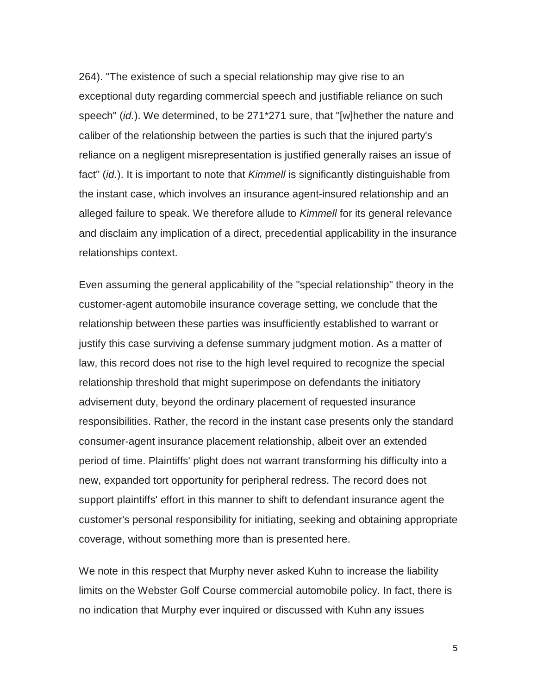264). "The existence of such a special relationship may give rise to an exceptional duty regarding commercial speech and justifiable reliance on such speech" (*id.*). We determined, to be 271\*271 sure, that "[w]hether the nature and caliber of the relationship between the parties is such that the injured party's reliance on a negligent misrepresentation is justified generally raises an issue of fact" (*id.*). It is important to note that *Kimmell* is significantly distinguishable from the instant case, which involves an insurance agent-insured relationship and an alleged failure to speak. We therefore allude to *Kimmell* for its general relevance and disclaim any implication of a direct, precedential applicability in the insurance relationships context.

Even assuming the general applicability of the "special relationship" theory in the customer-agent automobile insurance coverage setting, we conclude that the relationship between these parties was insufficiently established to warrant or justify this case surviving a defense summary judgment motion. As a matter of law, this record does not rise to the high level required to recognize the special relationship threshold that might superimpose on defendants the initiatory advisement duty, beyond the ordinary placement of requested insurance responsibilities. Rather, the record in the instant case presents only the standard consumer-agent insurance placement relationship, albeit over an extended period of time. Plaintiffs' plight does not warrant transforming his difficulty into a new, expanded tort opportunity for peripheral redress. The record does not support plaintiffs' effort in this manner to shift to defendant insurance agent the customer's personal responsibility for initiating, seeking and obtaining appropriate coverage, without something more than is presented here.

We note in this respect that Murphy never asked Kuhn to increase the liability limits on the Webster Golf Course commercial automobile policy. In fact, there is no indication that Murphy ever inquired or discussed with Kuhn any issues

5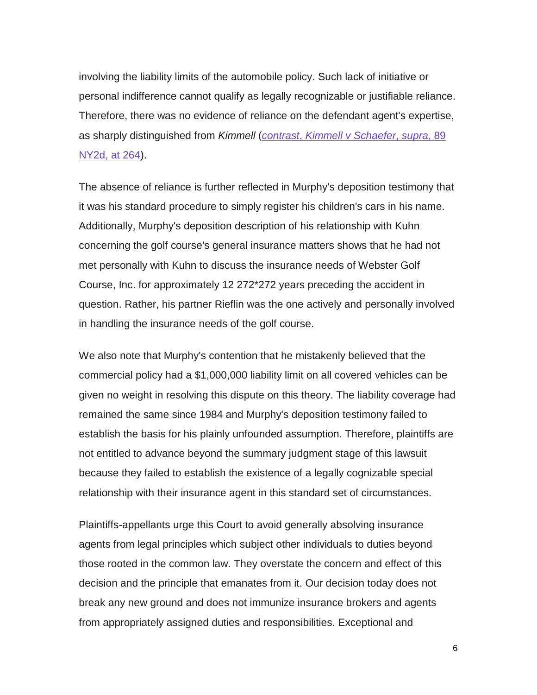involving the liability limits of the automobile policy. Such lack of initiative or personal indifference cannot qualify as legally recognizable or justifiable reliance. Therefore, there was no evidence of reliance on the defendant agent's expertise, as sharply distinguished from *Kimmell* (*contrast*, *[Kimmell v Schaefer](http://scholar.google.com/scholar_case?case=5529404909188796248&q=murphy+v.+kuhn&hl=en&as_sdt=2,5&scilh=0)*, *supra*, 89 [NY2d, at 264\)](http://scholar.google.com/scholar_case?case=5529404909188796248&q=murphy+v.+kuhn&hl=en&as_sdt=2,5&scilh=0).

The absence of reliance is further reflected in Murphy's deposition testimony that it was his standard procedure to simply register his children's cars in his name. Additionally, Murphy's deposition description of his relationship with Kuhn concerning the golf course's general insurance matters shows that he had not met personally with Kuhn to discuss the insurance needs of Webster Golf Course, Inc. for approximately 12 272\*272 years preceding the accident in question. Rather, his partner Rieflin was the one actively and personally involved in handling the insurance needs of the golf course.

We also note that Murphy's contention that he mistakenly believed that the commercial policy had a \$1,000,000 liability limit on all covered vehicles can be given no weight in resolving this dispute on this theory. The liability coverage had remained the same since 1984 and Murphy's deposition testimony failed to establish the basis for his plainly unfounded assumption. Therefore, plaintiffs are not entitled to advance beyond the summary judgment stage of this lawsuit because they failed to establish the existence of a legally cognizable special relationship with their insurance agent in this standard set of circumstances.

Plaintiffs-appellants urge this Court to avoid generally absolving insurance agents from legal principles which subject other individuals to duties beyond those rooted in the common law. They overstate the concern and effect of this decision and the principle that emanates from it. Our decision today does not break any new ground and does not immunize insurance brokers and agents from appropriately assigned duties and responsibilities. Exceptional and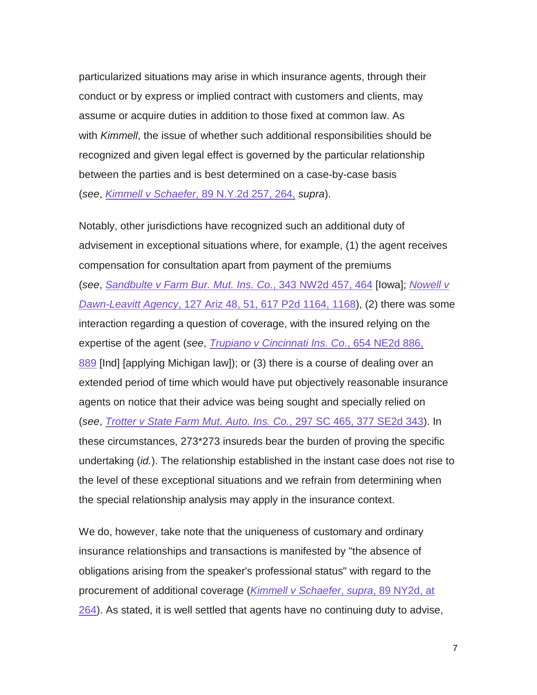particularized situations may arise in which insurance agents, through their conduct or by express or implied contract with customers and clients, may assume or acquire duties in addition to those fixed at common law. As with *Kimmell*, the issue of whether such additional responsibilities should be recognized and given legal effect is governed by the particular relationship between the parties and is best determined on a case-by-case basis (*see*, *Kimmell v Schaefer*[, 89 N.Y.2d 257, 264,](http://scholar.google.com/scholar_case?case=5529404909188796248&q=murphy+v.+kuhn&hl=en&as_sdt=2,5&scilh=0) *supra*).

Notably, other jurisdictions have recognized such an additional duty of advisement in exceptional situations where, for example, (1) the agent receives compensation for consultation apart from payment of the premiums (*see*, *[Sandbulte v Farm Bur. Mut. Ins. Co.](http://scholar.google.com/scholar_case?case=16929491139776881002&q=murphy+v.+kuhn&hl=en&as_sdt=2,5&scilh=0)*, 343 NW2d 457, 464 [Iowa]; *[Nowell v](http://scholar.google.com/scholar_case?case=17770932977758455395&q=murphy+v.+kuhn&hl=en&as_sdt=2,5&scilh=0)  Dawn-Leavitt Agency*[, 127 Ariz 48, 51, 617 P2d 1164, 1168\)](http://scholar.google.com/scholar_case?case=17770932977758455395&q=murphy+v.+kuhn&hl=en&as_sdt=2,5&scilh=0), (2) there was some interaction regarding a question of coverage, with the insured relying on the expertise of the agent (*see*, *[Trupiano v Cincinnati Ins. Co.](http://scholar.google.com/scholar_case?case=2332050118016725333&q=murphy+v.+kuhn&hl=en&as_sdt=2,5&scilh=0)*, 654 NE2d 886, [889](http://scholar.google.com/scholar_case?case=2332050118016725333&q=murphy+v.+kuhn&hl=en&as_sdt=2,5&scilh=0) [Ind] [applying Michigan law]); or (3) there is a course of dealing over an extended period of time which would have put objectively reasonable insurance agents on notice that their advice was being sought and specially relied on (*see*, *[Trotter v State Farm Mut. Auto. Ins. Co.](http://scholar.google.com/scholar_case?case=3543392929294614500&q=murphy+v.+kuhn&hl=en&as_sdt=2,5&scilh=0)*, 297 SC 465, 377 SE2d 343). In these circumstances, 273\*273 insureds bear the burden of proving the specific undertaking (*id.*). The relationship established in the instant case does not rise to the level of these exceptional situations and we refrain from determining when the special relationship analysis may apply in the insurance context.

We do, however, take note that the uniqueness of customary and ordinary insurance relationships and transactions is manifested by "the absence of obligations arising from the speaker's professional status" with regard to the procurement of additional coverage (*[Kimmell v Schaefer](http://scholar.google.com/scholar_case?case=5529404909188796248&q=murphy+v.+kuhn&hl=en&as_sdt=2,5&scilh=0)*, *supra*, 89 NY2d, at [264\)](http://scholar.google.com/scholar_case?case=5529404909188796248&q=murphy+v.+kuhn&hl=en&as_sdt=2,5&scilh=0). As stated, it is well settled that agents have no continuing duty to advise,